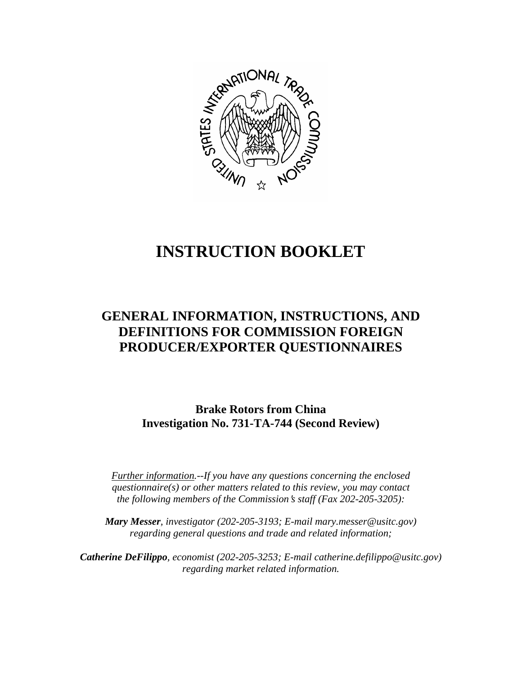

# **INSTRUCTION BOOKLET**

# **GENERAL INFORMATION, INSTRUCTIONS, AND DEFINITIONS FOR COMMISSION FOREIGN PRODUCER/EXPORTER QUESTIONNAIRES**

**Brake Rotors from China Investigation No. 731-TA-744 (Second Review)**

*Further information.--If you have any questions concerning the enclosed questionnaire(s) or other matters related to this review, you may contact the following members of the Commission's staff (Fax 202-205-3205):* 

 *Mary Messer, investigator (202-205-3193; E-mail mary.messer@usitc.gov) regarding general questions and trade and related information;* 

*Catherine DeFilippo, economist (202-205-3253; E-mail catherine.defilippo@usitc.gov) regarding market related information.*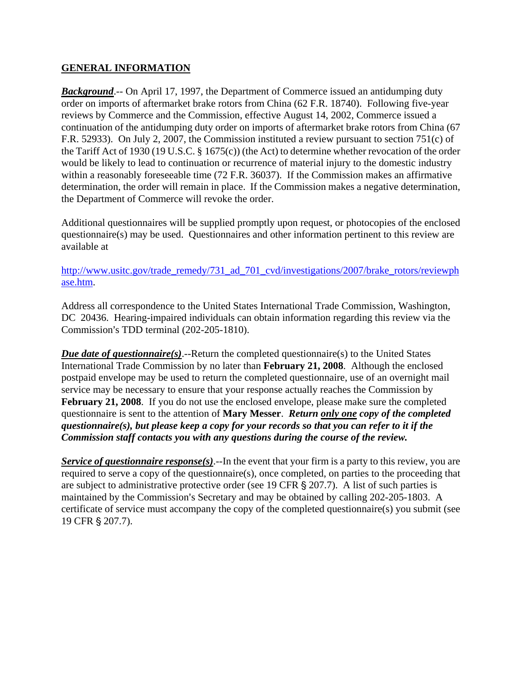#### **GENERAL INFORMATION**

*Background*.-- On April 17, 1997, the Department of Commerce issued an antidumping duty order on imports of aftermarket brake rotors from China (62 F.R. 18740). Following five-year reviews by Commerce and the Commission, effective August 14, 2002, Commerce issued a continuation of the antidumping duty order on imports of aftermarket brake rotors from China (67 F.R. 52933). On July 2, 2007, the Commission instituted a review pursuant to section 751(c) of the Tariff Act of 1930 (19 U.S.C. § 1675(c)) (the Act) to determine whether revocation of the order would be likely to lead to continuation or recurrence of material injury to the domestic industry within a reasonably foreseeable time (72 F.R. 36037). If the Commission makes an affirmative determination, the order will remain in place. If the Commission makes a negative determination, the Department of Commerce will revoke the order.

Additional questionnaires will be supplied promptly upon request, or photocopies of the enclosed questionnaire(s) may be used. Questionnaires and other information pertinent to this review are available at

http://www.usitc.gov/trade\_remedy/731\_ad\_701\_cvd/investigations/2007/brake\_rotors/reviewph ase.htm.

Address all correspondence to the United States International Trade Commission, Washington, DC 20436. Hearing-impaired individuals can obtain information regarding this review via the Commission's TDD terminal (202-205-1810).

*Due date of questionnaire(s)*.--Return the completed questionnaire(s) to the United States International Trade Commission by no later than **February 21, 2008**. Although the enclosed postpaid envelope may be used to return the completed questionnaire, use of an overnight mail service may be necessary to ensure that your response actually reaches the Commission by **February 21, 2008**. If you do not use the enclosed envelope, please make sure the completed questionnaire is sent to the attention of **Mary Messer**. *Return only one copy of the completed questionnaire(s), but please keep a copy for your records so that you can refer to it if the Commission staff contacts you with any questions during the course of the review.* 

*Service of questionnaire response(s)*.--In the event that your firm is a party to this review, you are required to serve a copy of the questionnaire(s), once completed, on parties to the proceeding that are subject to administrative protective order (see 19 CFR  $\S$  207.7). A list of such parties is maintained by the Commission's Secretary and may be obtained by calling 202-205-1803. A certificate of service must accompany the copy of the completed questionnaire(s) you submit (see 19 CFR § 207.7).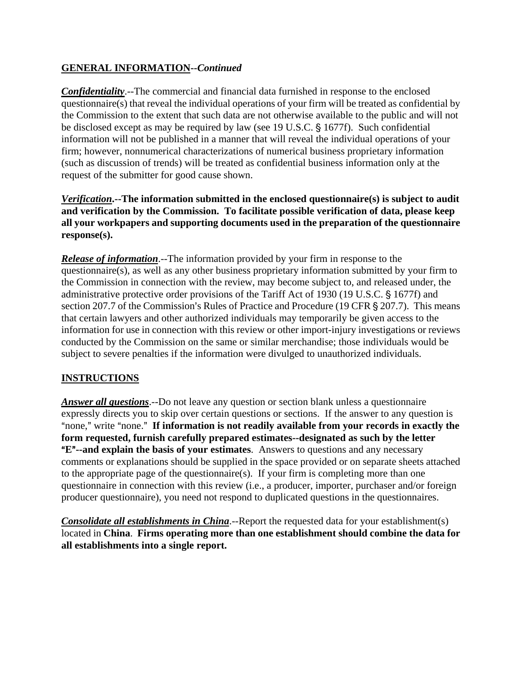## **GENERAL INFORMATION--***Continued*

*Confidentiality*.--The commercial and financial data furnished in response to the enclosed questionnaire(s) that reveal the individual operations of your firm will be treated as confidential by the Commission to the extent that such data are not otherwise available to the public and will not be disclosed except as may be required by law (see 19 U.S.C. § 1677f). Such confidential information will not be published in a manner that will reveal the individual operations of your firm; however, nonnumerical characterizations of numerical business proprietary information (such as discussion of trends) will be treated as confidential business information only at the request of the submitter for good cause shown.

*Verification***.--The information submitted in the enclosed questionnaire(s) is subject to audit and verification by the Commission. To facilitate possible verification of data, please keep all your workpapers and supporting documents used in the preparation of the questionnaire response(s).** 

*Release of information*.--The information provided by your firm in response to the questionnaire(s), as well as any other business proprietary information submitted by your firm to the Commission in connection with the review, may become subject to, and released under, the administrative protective order provisions of the Tariff Act of 1930 (19 U.S.C. § 1677f) and section 207.7 of the Commission's Rules of Practice and Procedure (19 CFR § 207.7). This means that certain lawyers and other authorized individuals may temporarily be given access to the information for use in connection with this review or other import-injury investigations or reviews conducted by the Commission on the same or similar merchandise; those individuals would be subject to severe penalties if the information were divulged to unauthorized individuals.

# **INSTRUCTIONS**

*Answer all questions*.--Do not leave any question or section blank unless a questionnaire expressly directs you to skip over certain questions or sections. If the answer to any question is "none," write "none." If information is not readily available from your records in exactly the **form requested, furnish carefully prepared estimates--designated as such by the letter E<sup>"</sup>--and explain the basis of your estimates**. Answers to questions and any necessary comments or explanations should be supplied in the space provided or on separate sheets attached to the appropriate page of the questionnaire(s). If your firm is completing more than one questionnaire in connection with this review (i.e., a producer, importer, purchaser and/or foreign producer questionnaire), you need not respond to duplicated questions in the questionnaires.

*Consolidate all establishments in China*.--Report the requested data for your establishment(s) located in **China**. **Firms operating more than one establishment should combine the data for all establishments into a single report.**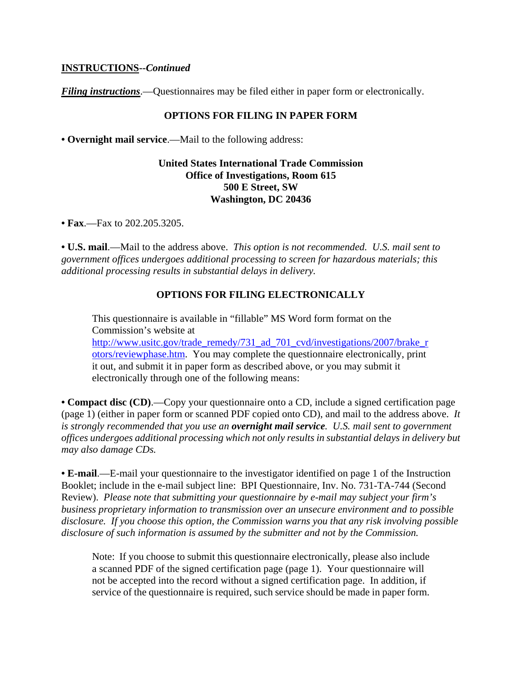#### **INSTRUCTIONS--***Continued*

*Filing instructions*.—Questionnaires may be filed either in paper form or electronically.

#### **OPTIONS FOR FILING IN PAPER FORM**

**• Overnight mail service**.—Mail to the following address:

#### **United States International Trade Commission Office of Investigations, Room 615 500 E Street, SW Washington, DC 20436**

**• Fax**.—Fax to 202.205.3205.

**• U.S. mail**.—Mail to the address above. *This option is not recommended. U.S. mail sent to government offices undergoes additional processing to screen for hazardous materials; this additional processing results in substantial delays in delivery.* 

#### **OPTIONS FOR FILING ELECTRONICALLY**

This questionnaire is available in "fillable" MS Word form format on the Commission's website at http://www.usitc.gov/trade\_remedy/731\_ad\_701\_cvd/investigations/2007/brake\_r otors/reviewphase.htm. You may complete the questionnaire electronically, print it out, and submit it in paper form as described above, or you may submit it electronically through one of the following means:

**• Compact disc (CD)**.—Copy your questionnaire onto a CD, include a signed certification page (page 1) (either in paper form or scanned PDF copied onto CD), and mail to the address above. *It is strongly recommended that you use an overnight mail service. U.S. mail sent to government offices undergoes additional processing which not only results in substantial delays in delivery but may also damage CDs.* 

**• E-mail**.—E-mail your questionnaire to the investigator identified on page 1 of the Instruction Booklet; include in the e-mail subject line: BPI Questionnaire, Inv. No. 731-TA-744 (Second Review). *Please note that submitting your questionnaire by e-mail may subject your firm's business proprietary information to transmission over an unsecure environment and to possible disclosure. If you choose this option, the Commission warns you that any risk involving possible disclosure of such information is assumed by the submitter and not by the Commission.* 

Note: If you choose to submit this questionnaire electronically, please also include a scanned PDF of the signed certification page (page 1). Your questionnaire will not be accepted into the record without a signed certification page. In addition, if service of the questionnaire is required, such service should be made in paper form.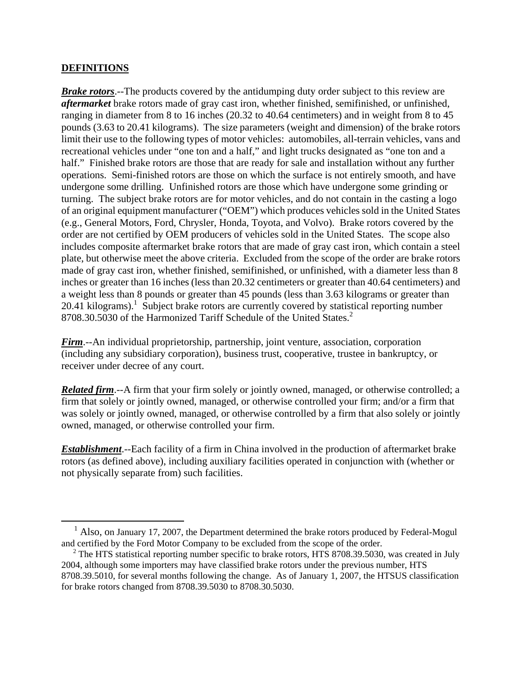#### **DEFINITIONS**

1

*Brake rotors*.--The products covered by the antidumping duty order subject to this review are *aftermarket* brake rotors made of gray cast iron, whether finished, semifinished, or unfinished, ranging in diameter from 8 to 16 inches (20.32 to 40.64 centimeters) and in weight from 8 to 45 pounds (3.63 to 20.41 kilograms). The size parameters (weight and dimension) of the brake rotors limit their use to the following types of motor vehicles: automobiles, all-terrain vehicles, vans and recreational vehicles under "one ton and a half," and light trucks designated as "one ton and a half." Finished brake rotors are those that are ready for sale and installation without any further operations. Semi-finished rotors are those on which the surface is not entirely smooth, and have undergone some drilling. Unfinished rotors are those which have undergone some grinding or turning. The subject brake rotors are for motor vehicles, and do not contain in the casting a logo of an original equipment manufacturer ("OEM") which produces vehicles sold in the United States (e.g., General Motors, Ford, Chrysler, Honda, Toyota, and Volvo). Brake rotors covered by the order are not certified by OEM producers of vehicles sold in the United States. The scope also includes composite aftermarket brake rotors that are made of gray cast iron, which contain a steel plate, but otherwise meet the above criteria. Excluded from the scope of the order are brake rotors made of gray cast iron, whether finished, semifinished, or unfinished, with a diameter less than 8 inches or greater than 16 inches (less than 20.32 centimeters or greater than 40.64 centimeters) and a weight less than 8 pounds or greater than 45 pounds (less than 3.63 kilograms or greater than  $20.41$  kilograms).<sup>1</sup> Subject brake rotors are currently covered by statistical reporting number 8708.30.5030 of the Harmonized Tariff Schedule of the United States.<sup>2</sup>

*Firm*.--An individual proprietorship, partnership, joint venture, association, corporation (including any subsidiary corporation), business trust, cooperative, trustee in bankruptcy, or receiver under decree of any court.

*Related firm*.--A firm that your firm solely or jointly owned, managed, or otherwise controlled; a firm that solely or jointly owned, managed, or otherwise controlled your firm; and/or a firm that was solely or jointly owned, managed, or otherwise controlled by a firm that also solely or jointly owned, managed, or otherwise controlled your firm.

*Establishment*.--Each facility of a firm in China involved in the production of aftermarket brake rotors (as defined above), including auxiliary facilities operated in conjunction with (whether or not physically separate from) such facilities.

<sup>&</sup>lt;sup>1</sup> Also, on January 17, 2007, the Department determined the brake rotors produced by Federal-Mogul and certified by the Ford Motor Company to be excluded from the scope of the order.

<sup>&</sup>lt;sup>2</sup> The HTS statistical reporting number specific to brake rotors, HTS 8708.39.5030, was created in July 2004, although some importers may have classified brake rotors under the previous number, HTS 8708.39.5010, for several months following the change. As of January 1, 2007, the HTSUS classification for brake rotors changed from 8708.39.5030 to 8708.30.5030.